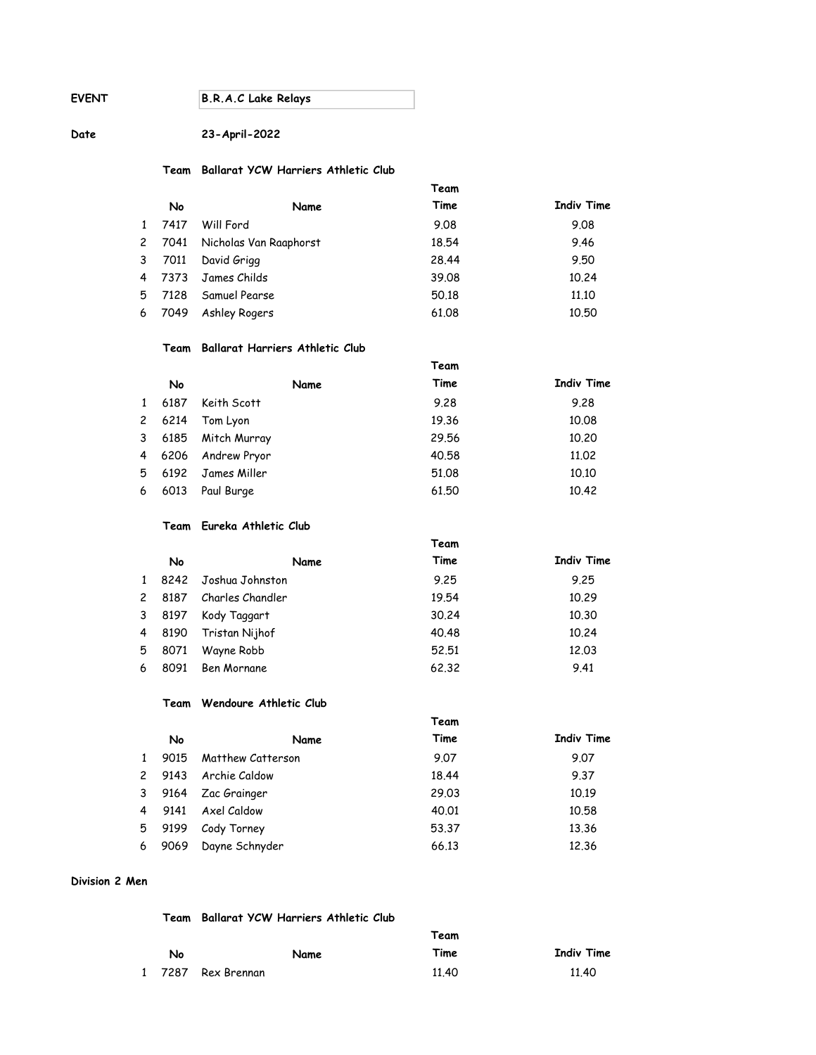EVENT B.R.A.C Lake Relays

# Date 23-April-2022

# Team Ballarat YCW Harriers Athletic Club

|                |      |                        | Team  |                   |
|----------------|------|------------------------|-------|-------------------|
|                | No   | Name                   | Time  | <b>Indiv Time</b> |
|                | 7417 | Will Ford              | 9.08  | 9.08              |
| $\mathbf{2}$   | 7041 | Nicholas Van Raaphorst | 18.54 | 9.46              |
| 3              | 7011 | David Grigg            | 28.44 | 9.50              |
| $\overline{4}$ | 7373 | James Childs           | 39.08 | 10.24             |
| 5              | 7128 | Samuel Pearse          | 50.18 | 11,10             |
| 6              | 7049 | Ashley Rogers          | 61.08 | 10.50             |

### Team Ballarat Harriers Athletic Club

|              |      |              | Team  |                   |
|--------------|------|--------------|-------|-------------------|
|              | No   | Name         | Time  | <b>Indiv Time</b> |
| $\mathbf{1}$ | 6187 | Keith Scott  | 9.28  | 9.28              |
| $\mathbf{2}$ | 6214 | Tom Lyon     | 19.36 | 10.08             |
| 3            | 6185 | Mitch Murray | 29.56 | 10,20             |
| 4            | 6206 | Andrew Pryor | 40.58 | 11.02             |
| 5            | 6192 | James Miller | 51.08 | 10.10             |
| 6            | 6013 | Paul Burge   | 61.50 | 10.42             |

#### Team Eureka Athletic Club

|              |      |                    | Team  |                   |
|--------------|------|--------------------|-------|-------------------|
|              | No   | Name               | Time  | <b>Indiv Time</b> |
| $\mathbf{1}$ | 8242 | Joshua Johnston    | 9.25  | 9.25              |
| $\mathbf{2}$ | 8187 | Charles Chandler   | 19.54 | 10.29             |
| 3            | 8197 | Kody Taggart       | 30.24 | 10.30             |
| 4            | 8190 | Tristan Nijhof     | 40.48 | 10.24             |
| 5            | 8071 | Wayne Robb         | 52.51 | 12.03             |
| 6            | 8091 | <b>Ben Mornane</b> | 62,32 | 9.41              |

## Team Wendoure Athletic Club

|                |      |                   | Team  |                   |
|----------------|------|-------------------|-------|-------------------|
|                | No   | Name              | Time  | <b>Indiv Time</b> |
| $\mathbf{1}$   | 9015 | Matthew Catterson | 9.07  | 9.07              |
| $\overline{c}$ | 9143 | Archie Caldow     | 18.44 | 9.37              |
| 3              | 9164 | Zac Grainger      | 29.03 | 10.19             |
| 4              | 9141 | Axel Caldow       | 40.01 | 10.58             |
| 5              | 9199 | Cody Torney       | 53.37 | 13.36             |
| 6              | 9069 | Dayne Schnyder    | 66.13 | 12.36             |

# Division 2 Men

# Team Ballarat YCW Harriers Athletic Club

|    |                    |      | Team  |                   |
|----|--------------------|------|-------|-------------------|
| No |                    | Name | Time  | <b>Indiv Time</b> |
|    | 1 7287 Rex Brennan |      | 11.40 | 11.40             |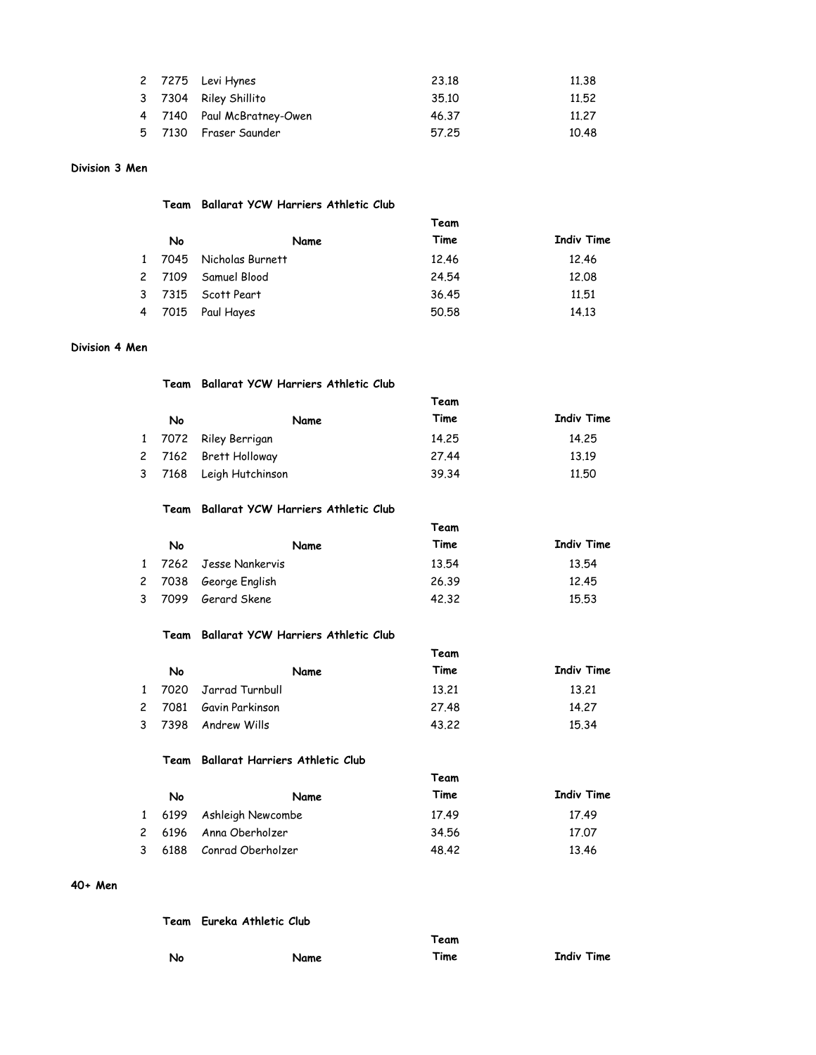|  | 2 7275 Levi Hynes          | 23.18 | 11.38 |
|--|----------------------------|-------|-------|
|  | 3 7304 Riley Shillito      | 35.10 | 11.52 |
|  | 4 7140 Paul McBratney-Owen | 46.37 | 11.27 |
|  | 5 7130 Fraser Saunder      | 57.25 | 10.48 |

# Division 3 Men

### Team Ballarat YCW Harriers Athletic Club

|  |    |                         | Team  |                   |
|--|----|-------------------------|-------|-------------------|
|  | No | Name                    | Time  | <b>Indiv Time</b> |
|  |    | 1 7045 Nicholas Burnett | 12.46 | 12.46             |
|  |    | 2 7109 Samuel Blood     | 24.54 | 12.08             |
|  |    | 3 7315 Scott Peart      | 36.45 | 11.51             |
|  |    | 4 7015 Paul Hayes       | 50.58 | 14.13             |

## Division 4 Men

|    | Team Ballarat YCW Harriers Athletic Club |       |                   |
|----|------------------------------------------|-------|-------------------|
|    |                                          | Team  |                   |
| No | Name                                     | Time  | <b>Indiv Time</b> |
|    | 1 7072 Riley Berrigan                    | 14.25 | 14.25             |
|    | 2 7162 Brett Holloway                    | 27.44 | 13.19             |
|    | 3 7168 Leigh Hutchinson                  | 39.34 | 11.50             |

# Team Ballarat YCW Harriers Athletic Club

|    |                        | Team  |                   |
|----|------------------------|-------|-------------------|
| No | Name                   | Time  | <b>Indiv Time</b> |
|    | 1 7262 Jesse Nankervis | 13.54 | 13.54             |
|    | 2 7038 George English  | 26.39 | 12.45             |
|    | 3 7099 Gerard Skene    | 42.32 | 15.53             |

#### Team Ballarat YCW Harriers Athletic Club

|    |                        | Team  |                   |
|----|------------------------|-------|-------------------|
| No | Name                   | Time  | <b>Indiv Time</b> |
|    | 1 7020 Jarrad Turnbull | 13.21 | 13.21             |
|    | 2 7081 Gavin Parkinson | 27.48 | 14.27             |
|    | 3 7398 Andrew Wills    | 43.22 | 15.34             |

#### Team Ballarat Harriers Athletic Club

|        |                          | Team  |            |
|--------|--------------------------|-------|------------|
| No     | Name                     | Time  | Indiv Time |
|        | 1 6199 Ashleigh Newcombe | 17.49 | 17.49      |
|        | 2 6196 Anna Oberholzer   | 34.56 | 17.07      |
| 3 6188 | Conrad Oberholzer        | 48.42 | 13.46      |

# 40+ Men

|    | Team Eureka Athletic Club |      |                   |
|----|---------------------------|------|-------------------|
|    |                           | Team |                   |
| No | Name                      | Time | <b>Indiv Time</b> |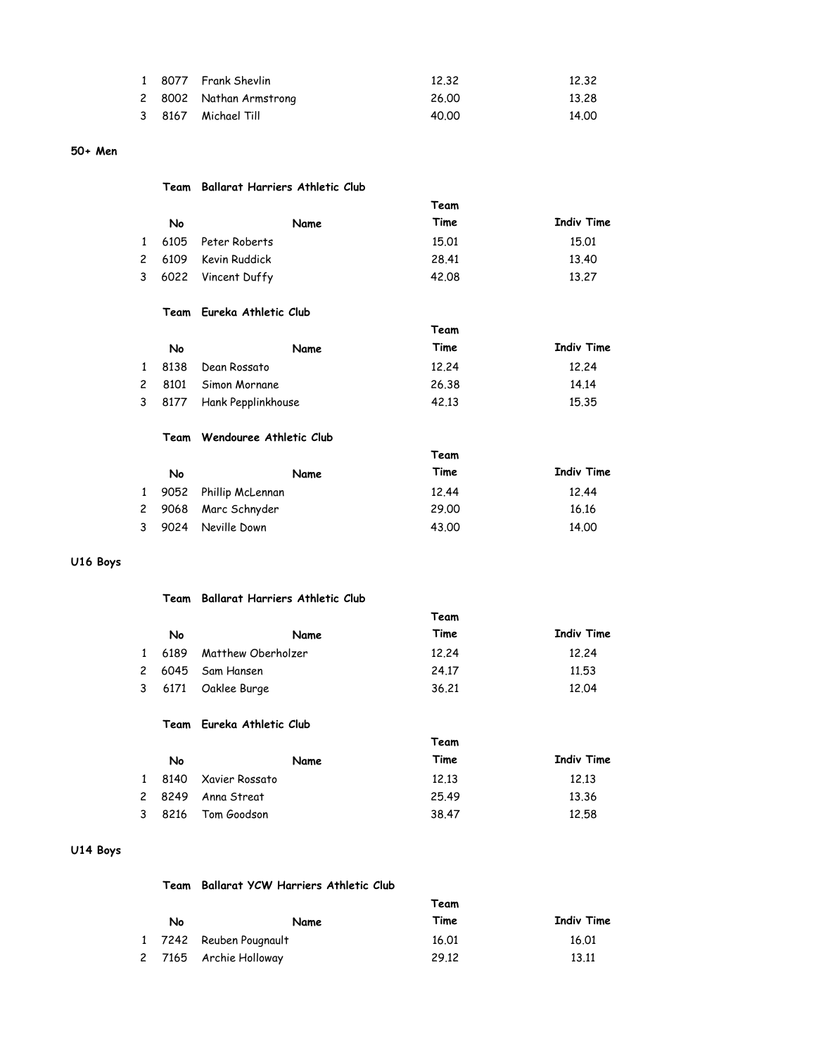|  | 1 8077 Frank Shevlin    | 12.32 | 12.32 |
|--|-------------------------|-------|-------|
|  | 2 8002 Nathan Armstrong | 26.00 | 13.28 |
|  | 3 8167 Michael Till     | 40.00 | 14.00 |

## 50+ Men

### Team Ballarat Harriers Athletic Club

|    |                      | Team  |                   |
|----|----------------------|-------|-------------------|
| No | Name                 | Time  | <b>Indiv Time</b> |
|    | 1 6105 Peter Roberts | 15.01 | 15.01             |
|    | 2 6109 Kevin Ruddick | 28.41 | 13.40             |
|    | 3 6022 Vincent Duffy | 42.08 | 13.27             |

# Team Eureka Athletic Club

|        |                           | Team  |            |  |  |
|--------|---------------------------|-------|------------|--|--|
| No     | Name                      | Time  | Indiv Time |  |  |
| 1 8138 | Dean Rossato              | 12.24 | 12.24      |  |  |
|        | 2 8101 Simon Mornane      | 26.38 | 14.14      |  |  |
|        | 3 8177 Hank Pepplinkhouse | 42.13 | 15.35      |  |  |

## Team Wendouree Athletic Club

|   |    |                         | Team  |                   |
|---|----|-------------------------|-------|-------------------|
|   | No | Name                    | Time  | <b>Indiv Time</b> |
|   |    | 1 9052 Phillip McLennan | 12.44 | 12.44             |
|   |    | 2 9068 Marc Schnyder    | 29.00 | 16.16             |
| 3 |    | 9024 Neville Down       | 43.00 | 14.00             |

# U16 Boys

# Team Ballarat Harriers Athletic Club

|    |                           | Team  |                   |
|----|---------------------------|-------|-------------------|
| No | Name                      | Time  | <b>Indiv Time</b> |
|    | 1 6189 Matthew Oberholzer | 12.24 | 12.24             |
|    | 2 6045 Sam Hansen         | 24.17 | 11.53             |
|    | 3 6171 Oaklee Burge       | 36.21 | 12.04             |

#### Team Eureka Athletic Club

|    |                       | Team  |                   |
|----|-----------------------|-------|-------------------|
| No | Name                  | Time  | <b>Indiv Time</b> |
|    | 1 8140 Xavier Rossato | 12.13 | 12.13             |
|    | 2 8249 Anna Streat    | 25.49 | 13.36             |
|    | 3 8216 Tom Goodson    | 38.47 | 12.58             |

# U14 Boys

Team Ballarat YCW Harriers Athletic Club

| No | Name                    | Time  | Indiv Time |
|----|-------------------------|-------|------------|
|    | 1 7242 Reuben Pougnault | 16.01 | 16.01      |
|    | 2 7165 Archie Holloway  | 29.12 | 13.11      |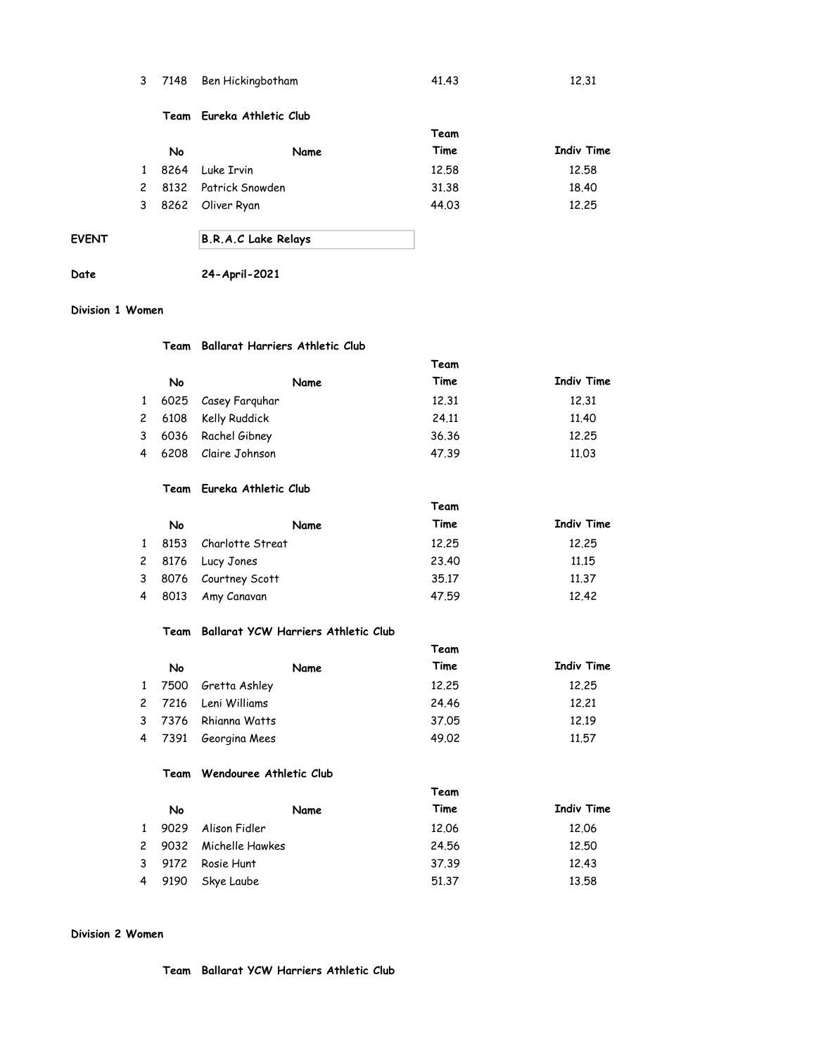|  | 3 7148 Ben Hickingbotham | 41.43 | 12.31 |
|--|--------------------------|-------|-------|
|  |                          |       |       |

#### Team Eureka Athletic Club

|              |    |                        | Team  |            |
|--------------|----|------------------------|-------|------------|
|              | No | Name                   | Time  | Indiv Time |
| $\mathbf{1}$ |    | 8264 Luke Irvin        | 12.58 | 12.58      |
|              |    | 2 8132 Patrick Snowden | 31.38 | 18.40      |
|              |    | 3 8262 Oliver Ryan     | 44.03 | 12.25      |

# EVENT B.R.A.C Lake Relays

# Date 24-April-2021

#### Division 1 Women

# Team Ballarat Harriers Athletic Club

|    |                       | Team  |                   |  |  |
|----|-----------------------|-------|-------------------|--|--|
| No | Name                  | Time  | <b>Indiv Time</b> |  |  |
|    | 1 6025 Casey Farguhar | 12.31 | 12.31             |  |  |
|    | 2 6108 Kelly Ruddick  | 24.11 | 11.40             |  |  |
|    | 3 6036 Rachel Gibney  | 36.36 | 12.25             |  |  |
|    | 4 6208 Claire Johnson | 47.39 | 11.03             |  |  |

#### Team Eureka Athletic Club

|              |      |                       | Team  |                   |
|--------------|------|-----------------------|-------|-------------------|
|              | No   | Name                  | Time  | <b>Indiv Time</b> |
| $\mathbf{1}$ | 8153 | Charlotte Streat      | 12.25 | 12.25             |
|              |      | 2 8176 Lucy Jones     | 23.40 | 11.15             |
|              |      | 3 8076 Courtney Scott | 35.17 | 11.37             |
| 4            | 8013 | Amy Canavan           | 47.59 | 12.42             |

# Team Ballarat YCW Harriers Athletic Club

|    |                      | Team  |                   |
|----|----------------------|-------|-------------------|
| No | Name                 | Time  | <b>Indiv Time</b> |
|    | 1 7500 Gretta Ashley | 12.25 | 12.25             |
|    | 2 7216 Leni Williams | 24.46 | 12.21             |
|    | 3 7376 Rhianna Watts | 37.05 | 12.19             |
|    | 4 7391 Georgina Mees | 49.02 | 11.57             |

# Team Wendouree Athletic Club

|    |                        | , cum |                   |
|----|------------------------|-------|-------------------|
| No | Name                   | Time  | <b>Indiv Time</b> |
|    | 1 9029 Alison Fidler   | 12.06 | 12.06             |
|    | 2 9032 Michelle Hawkes | 24.56 | 12.50             |
|    | 3 9172 Rosie Hunt      | 37.39 | 12.43             |
|    | 4 9190 Skye Laube      | 51.37 | 13.58             |

Team

# Division 2 Women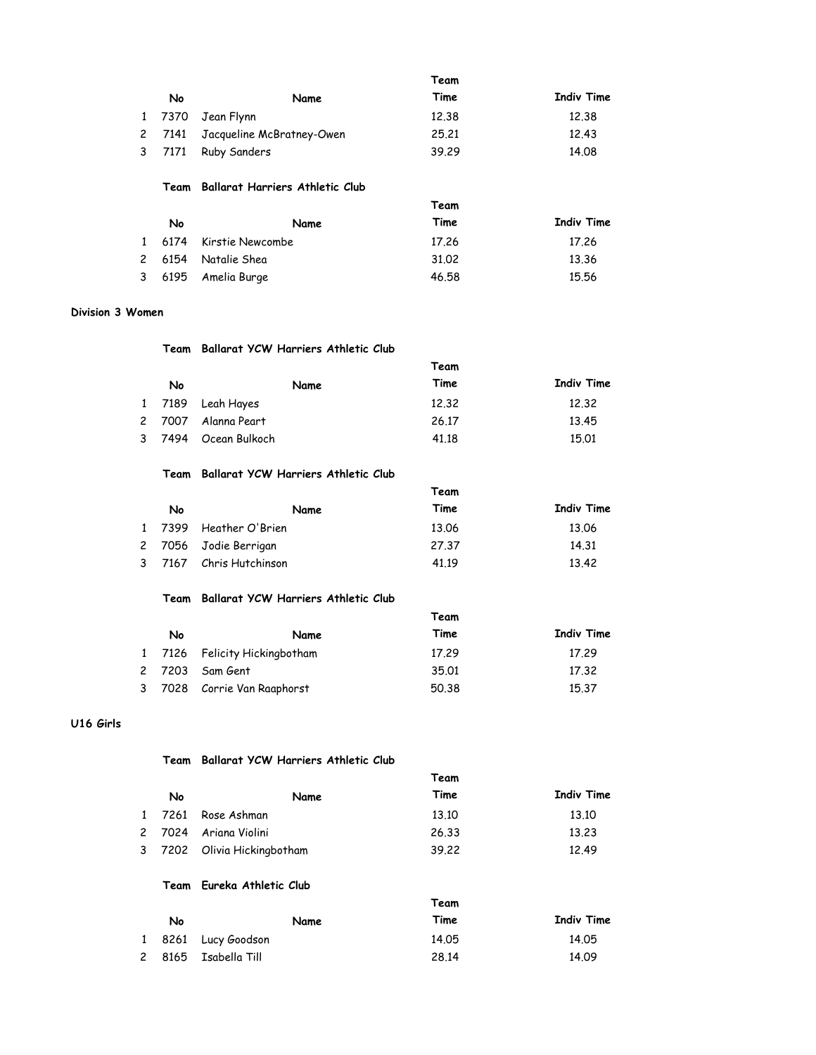|                       |      |                                        | Team  |                   |
|-----------------------|------|----------------------------------------|-------|-------------------|
|                       | No   | Name                                   | Time  | <b>Indiv Time</b> |
| 1                     | 7370 | Jean Flynn                             | 12.38 | 12.38             |
| $\mathbf{2}^{\prime}$ | 7141 | Jacqueline McBratney-Owen              | 25.21 | 12.43             |
| 3                     | 7171 | <b>Ruby Sanders</b>                    | 39.29 | 14.08             |
|                       | Team | <b>Ballarat Harriers Athletic Club</b> |       |                   |
|                       |      |                                        | Team  |                   |
|                       | No   | Name                                   | Time  | <b>Indiv Time</b> |
|                       | 6174 | Kirstie Newcombe                       | 17.26 | 17.26             |
| 2                     | 6154 | Natalie Shea                           | 31.02 | 13.36             |
| 3                     | 6195 | Amelia Burge                           | 46.58 | 15.56             |

### Division 3 Women

|  |    | Team Ballarat YCW Harriers Athletic Club |       |                   |
|--|----|------------------------------------------|-------|-------------------|
|  |    |                                          | Team  |                   |
|  | No | Name                                     | Time  | <b>Indiv Time</b> |
|  |    | 1 7189 Leah Hayes                        | 12.32 | 12.32             |
|  |    | 2 7007 Alanna Peart                      | 26.17 | 13.45             |
|  |    | 3 7494 Ocean Bulkoch                     | 41.18 | 15.01             |

#### Team Ballarat YCW Harriers Athletic Club

|  |    |                         | Team  |            |
|--|----|-------------------------|-------|------------|
|  | No | Name                    | Time  | Indiv Time |
|  |    | 1 7399 Heather O'Brien  | 13.06 | 13.06      |
|  |    | 2 7056 Jodie Berrigan   | 27.37 | 14.31      |
|  |    | 3 7167 Chris Hutchinson | 41.19 | 13.42      |

# Team Ballarat YCW Harriers Athletic Club

|    |                               | Team  |                   |
|----|-------------------------------|-------|-------------------|
| No | Name                          | Time  | <b>Indiv Time</b> |
|    | 1 7126 Felicity Hickingbotham | 17.29 | 17.29             |
|    | 2 7203 Sam Gent               | 35.01 | 17.32             |
|    | 3 7028 Corrie Van Raaphorst   | 50.38 | 15.37             |

# U16 Girls

#### Team Ballarat YCW Harriers Athletic Club

|    |                             | Team  |                   |
|----|-----------------------------|-------|-------------------|
| No | Name                        | Time  | <b>Indiv Time</b> |
|    | 1 7261 Rose Ashman          | 13.10 | 13.10             |
|    | 2 7024 Ariana Violini       | 26.33 | 13.23             |
|    | 3 7202 Olivia Hickingbotham | 39.22 | 12.49             |

## Team Eureka Athletic Club

|    |                      | Team  |            |
|----|----------------------|-------|------------|
| No | Name                 | Time  | Indiv Time |
|    | 1 8261 Lucy Goodson  | 14.05 | 14.05      |
|    | 2 8165 Isabella Till | 28.14 | 14.09      |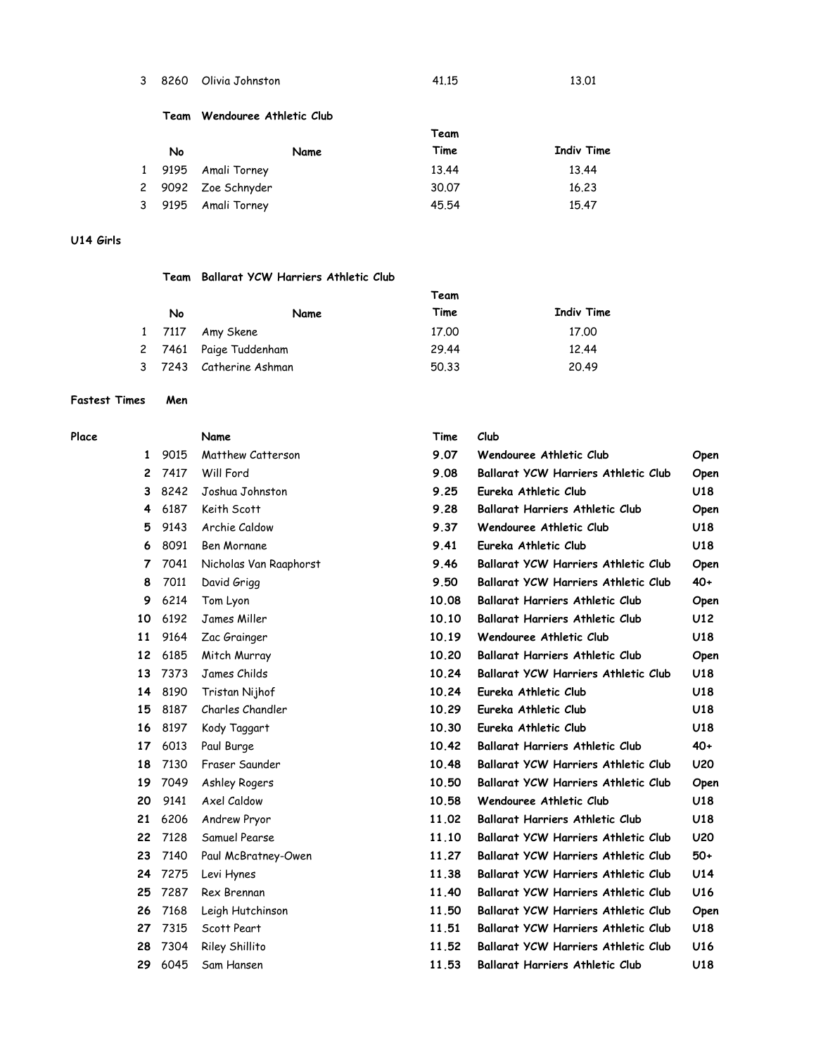| 3 | 8260 | Olivia Johnstor |
|---|------|-----------------|
|   |      |                 |

8260 Olivia Johnston 41.15 13.01

#### Team Wendouree Athletic Club

|    |                     | Team  |            |
|----|---------------------|-------|------------|
| No | Name                | Time  | Indiv Time |
|    | 1 9195 Amali Torney | 13.44 | 13.44      |
|    | 2 9092 Zoe Schnyder | 30.07 | 16.23      |
|    | 3 9195 Amali Torney | 45.54 | 15.47      |

# U14 Girls

# Team Ballarat YCW Harriers Athletic Club

|    |                         | Team  |                   |
|----|-------------------------|-------|-------------------|
| No | Name                    | Time  | <b>Indiv Time</b> |
|    | 1 7117 Amy Skene        | 17.00 | 17.00             |
|    | 2 7461 Paige Tuddenham  | 29.44 | 12.44             |
|    | 3 7243 Catherine Ashman | 50.33 | 20.49             |

# Fastest Times Men

| Place |     |      | Name                   | Time  | Club        |
|-------|-----|------|------------------------|-------|-------------|
|       | 1   | 9015 | Matthew Catterson      | 9.07  | Wen         |
|       | 2   | 7417 | Will Ford              | 9.08  | Balla       |
|       | 3   | 8242 | Joshua Johnston        | 9.25  | <b>Eure</b> |
|       | 4   | 6187 | Keith Scott            | 9.28  | Balla       |
|       | 5   | 9143 | Archie Caldow          | 9.37  | Wen         |
|       | 6   | 8091 | Ben Mornane            | 9.41  | <b>Eure</b> |
|       | 7   | 7041 | Nicholas Van Raaphorst | 9.46  | Balla       |
|       | 8   | 7011 | David Grigg            | 9.50  | Balla       |
|       | 9   | 6214 | Tom Lyon               | 10.08 | Balla       |
|       | 10  | 6192 | James Miller           | 10.10 | Balla       |
|       | 11  | 9164 | Zac Grainger           | 10.19 | Wen         |
|       | 12  | 6185 | Mitch Murray           | 10.20 | Balla       |
|       | 13  | 7373 | James Childs           | 10.24 | Balla       |
|       | 14  | 8190 | Tristan Nijhof         | 10.24 | Eure        |
|       | 15  | 8187 | Charles Chandler       | 10.29 | Eure        |
|       | 16  | 8197 | Kody Taggart           | 10.30 | Eure        |
|       | 17  | 6013 | Paul Burge             | 10.42 | Balla       |
|       | 18  | 7130 | Fraser Saunder         | 10.48 | Balla       |
|       | 19  | 7049 | Ashley Rogers          | 10.50 | Ballo       |
|       | 20  | 9141 | Axel Caldow            | 10.58 | Wen         |
|       | 21  | 6206 | Andrew Pryor           | 11.02 | Balla       |
|       | 22  | 7128 | Samuel Pearse          | 11.10 | Balla       |
|       | 23  | 7140 | Paul McBratney-Owen    | 11.27 | Balla       |
|       | 24  | 7275 | Levi Hynes             | 11.38 | Balla       |
|       | 25  | 7287 | Rex Brennan            | 11.40 | Balla       |
|       | 26  | 7168 | Leigh Hutchinson       | 11.50 | Ballo       |
|       | 27  | 7315 | Scott Peart            | 11.51 | Balla       |
|       | 28  | 7304 | Riley Shillito         | 11.52 | Balla       |
|       | 20. | 6045 | Sam Hancon             | 11 53 | مالمR       |

|    |      | Name                   | Time  | Club                                       |       |
|----|------|------------------------|-------|--------------------------------------------|-------|
| 1  | 9015 | Matthew Catterson      | 9.07  | Wendouree Athletic Club                    | Open  |
| 2  | 7417 | Will Ford              | 9.08  | <b>Ballarat YCW Harriers Athletic Club</b> | Open  |
| 3  | 8242 | Joshua Johnston        | 9.25  | Eureka Athletic Club                       | U18   |
| 4  | 6187 | Keith Scott            | 9.28  | <b>Ballarat Harriers Athletic Club</b>     | Open  |
| 5  | 9143 | Archie Caldow          | 9.37  | Wendouree Athletic Club                    | U18   |
| 6  | 8091 | <b>Ben Mornane</b>     | 9.41  | Eureka Athletic Club                       | U18   |
| 7  | 7041 | Nicholas Van Raaphorst | 9.46  | Ballarat YCW Harriers Athletic Club        | Open  |
| 8  | 7011 | David Grigg            | 9.50  | Ballarat YCW Harriers Athletic Club        | $40+$ |
| 9  | 6214 | Tom Lyon               | 10.08 | <b>Ballarat Harriers Athletic Club</b>     | Open  |
| 10 | 6192 | James Miller           | 10.10 | <b>Ballarat Harriers Athletic Club</b>     | U12   |
| 11 | 9164 | Zac Grainger           | 10.19 | Wendouree Athletic Club                    | U18   |
| 12 | 6185 | Mitch Murray           | 10.20 | <b>Ballarat Harriers Athletic Club</b>     | Open  |
| 13 | 7373 | James Childs           | 10.24 | <b>Ballarat YCW Harriers Athletic Club</b> | U18   |
| 14 | 8190 | Tristan Nijhof         | 10.24 | Eureka Athletic Club                       | U18   |
| 15 | 8187 | Charles Chandler       | 10.29 | Eureka Athletic Club                       | U18   |
| 16 | 8197 | Kody Taggart           | 10.30 | Eureka Athletic Club                       | U18   |
| 17 | 6013 | Paul Burge             | 10.42 | Ballarat Harriers Athletic Club            | $40+$ |
| 18 | 7130 | Fraser Saunder         | 10.48 | Ballarat YCW Harriers Athletic Club        | U20   |
| 19 | 7049 | Ashley Rogers          | 10.50 | <b>Ballarat YCW Harriers Athletic Club</b> | Open  |
| 20 | 9141 | Axel Caldow            | 10.58 | Wendouree Athletic Club                    | U18   |
| 21 | 6206 | Andrew Pryor           | 11.02 | <b>Ballarat Harriers Athletic Club</b>     | U18   |
| 22 | 7128 | Samuel Pearse          | 11.10 | Ballarat YCW Harriers Athletic Club        | U20   |
| 23 | 7140 | Paul McBratney-Owen    | 11.27 | Ballarat YCW Harriers Athletic Club        | $50+$ |
| 24 | 7275 | Levi Hynes             | 11.38 | Ballarat YCW Harriers Athletic Club        | U14   |
| 25 | 7287 | Rex Brennan            | 11.40 | <b>Ballarat YCW Harriers Athletic Club</b> | U16   |
| 26 | 7168 | Leigh Hutchinson       | 11.50 | <b>Ballarat YCW Harriers Athletic Club</b> | Open  |
| 27 | 7315 | Scott Peart            | 11.51 | Ballarat YCW Harriers Athletic Club        | U18   |
| 28 | 7304 | Riley Shillito         | 11.52 | Ballarat YCW Harriers Athletic Club        | U16   |
| 29 | 6045 | Sam Hansen             | 11.53 | Ballarat Harriers Athletic Club            | U18   |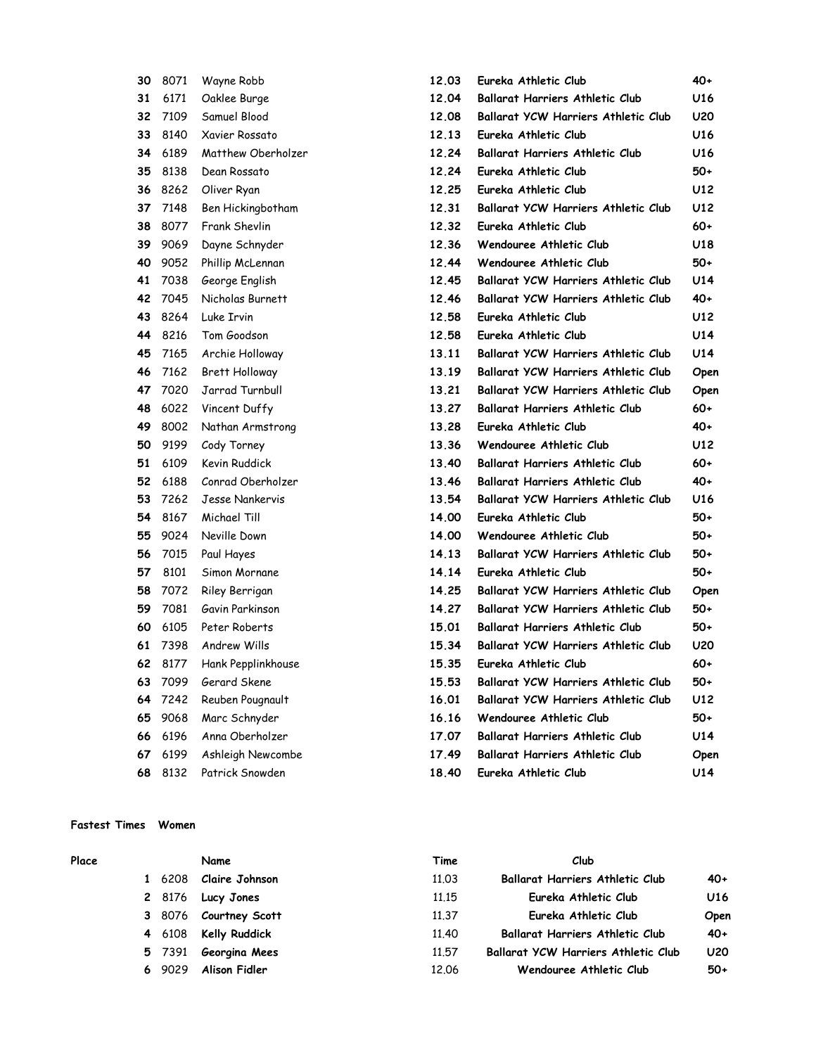| 30 | 8071 | Wayne Robb            |  |  |
|----|------|-----------------------|--|--|
| 31 | 6171 | Oaklee Burge          |  |  |
| 32 | 7109 | Samuel Blood          |  |  |
| 33 | 8140 | Xavier Rossato        |  |  |
| 34 | 6189 | Matthew Oberholzer    |  |  |
| 35 | 8138 | Dean Rossato          |  |  |
| 36 | 8262 | Oliver Ryan           |  |  |
| 37 | 7148 | Ben Hickingbotham     |  |  |
| 38 | 8077 | Frank Shevlin         |  |  |
| 39 | 9069 | Dayne Schnyder        |  |  |
| 40 | 9052 | Phillip McLennan      |  |  |
| 41 | 7038 | George English        |  |  |
| 42 | 7045 | Nicholas Burnett      |  |  |
| 43 | 8264 | Luke Irvin            |  |  |
| 44 | 8216 | Tom Goodson           |  |  |
| 45 | 7165 | Archie Holloway       |  |  |
| 46 | 7162 | <b>Brett Holloway</b> |  |  |
| 47 | 7020 | Jarrad Turnbull       |  |  |
| 48 | 6022 | Vincent Duffy         |  |  |
| 49 | 8002 | Nathan Armstrong      |  |  |
| 50 | 9199 | Cody Torney           |  |  |
| 51 | 6109 | Kevin Ruddick         |  |  |
| 52 | 6188 | Conrad Oberholzer     |  |  |
| 53 | 7262 | Jesse Nankervis       |  |  |
| 54 | 8167 | Michael Till          |  |  |
| 55 | 9024 | Neville Down          |  |  |
| 56 | 7015 | Paul Hayes            |  |  |
| 57 | 8101 | Simon Mornane         |  |  |
| 58 | 7072 | Riley Berrigan        |  |  |
| 59 | 7081 | Gavin Parkinson       |  |  |
| 60 | 6105 | Peter Roberts         |  |  |
| 61 | 7398 | Andrew Wills          |  |  |
| 62 | 8177 | Hank Pepplinkhouse    |  |  |
| 63 | 7099 | Gerard Skene          |  |  |
| 64 | 7242 | Reuben Pougnault      |  |  |
| 65 | 9068 | Marc Schnyder         |  |  |
| 66 | 6196 | Anna Oberholzer       |  |  |
| 67 | 6199 | Ashleigh Newcombe     |  |  |
| 68 | 8132 | Patrick Snowden       |  |  |

# 12.04 Ballarat Harriers Athletic Club U16 12.08 Ballarat YCW Harriers Athletic Club U20 33 8140 Xavier Rossato 12.13 Eureka Athletic Club U16 12.24 Ballarat Harriers Athletic Club U16 12.24 Eureka Athletic Club 50+ 36 8262 Oliver Ryan 12.25 Eureka Athletic Club U12 12.31 Ballarat YCW Harriers Athletic Club U12 12.32 Eureka Athletic Club 60+ 12.36 Wendouree Athletic Club U18 12.44 Wendouree Athletic Club 50+ 12.45 Ballarat YCW Harriers Athletic Club U14 12.46 Ballarat YCW Harriers Athletic Club 40+ 12.58 Eureka Athletic Club U12 44 8216 Tom Goodson 12.58 Eureka Athletic Club U14 13.11 Ballarat YCW Harriers Athletic Club U14 13.19 Ballarat YCW Harriers Athletic Club Open 13.21 Ballarat YCW Harriers Athletic Club Open 13.27 Ballarat Harriers Athletic Club 60+ 13.28 Eureka Athletic Club 40+ 13.36 Wendouree Athletic Club U12 13.40 Ballarat Harriers Athletic Club 60+ 13.46 Ballarat Harriers Athletic Club 40+ 13.54 Ballarat YCW Harriers Athletic Club U16 14.00 Eureka Athletic Club 50+ 14.00 Wendouree Athletic Club 50+ 14.13 Ballarat YCW Harriers Athletic Club 50+ 14.14 Eureka Athletic Club 50+ 14.25 Ballarat YCW Harriers Athletic Club Open 14.27 Ballarat YCW Harriers Athletic Club 50+ 15.01 Ballarat Harriers Athletic Club 50+ 15.34 Ballarat YCW Harriers Athletic Club U20 15.35 Eureka Athletic Club 60+ 15.53 Ballarat YCW Harriers Athletic Club 50+ 16.01 Ballarat YCW Harriers Athletic Club U12 16.16 Wendouree Athletic Club 50+ 17.07 Ballarat Harriers Athletic Club U14

12.03 Eureka Athletic Club 40+

17.49 Ballarat Harriers Athletic Club Open 18.40 Eureka Athletic Club U14

#### Fastest Times Women

| Place |    |        | Name                  | Time  | Club                                       |            |
|-------|----|--------|-----------------------|-------|--------------------------------------------|------------|
|       |    | 6208   | Claire Johnson        | 11.03 | <b>Ballarat Harriers Athletic Club</b>     | 40+        |
|       |    |        | 2 8176 Lucy Jones     | 11.15 | Eureka Athletic Club                       | U16        |
|       |    |        | 3 8076 Courtney Scott | 11.37 | Eureka Athletic Club                       | Open       |
|       |    | 4 6108 | Kelly Ruddick         | 11.40 | <b>Ballarat Harriers Athletic Club</b>     | $40+$      |
|       |    | 5 7391 | Georgina Mees         | 11.57 | <b>Ballarat YCW Harriers Athletic Club</b> | <b>U20</b> |
|       | 6. | 9029   | Alison Fidler         | 12.06 | Wendouree Athletic Club                    | 50+        |